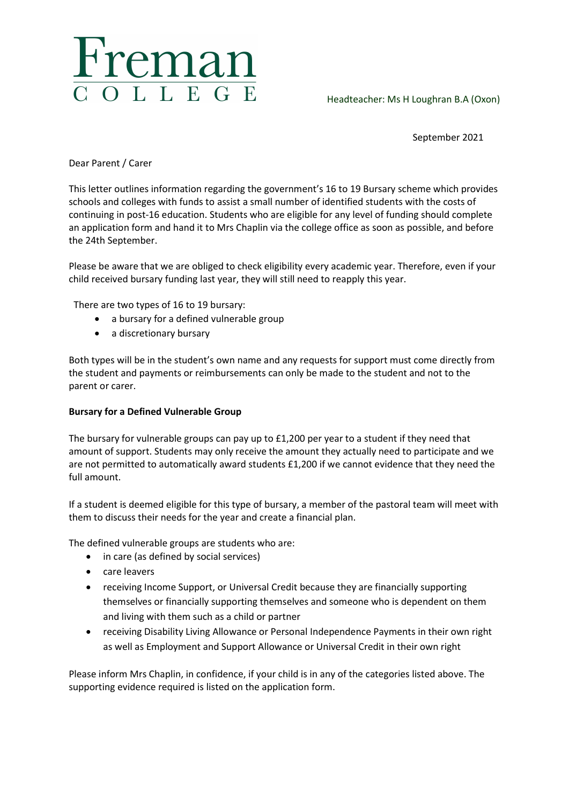

Headteacher: Ms H Loughran B.A (Oxon)

September 2021

Dear Parent / Carer

This letter outlines information regarding the government's 16 to 19 Bursary scheme which provides schools and colleges with funds to assist a small number of identified students with the costs of continuing in post-16 education. Students who are eligible for any level of funding should complete an application form and hand it to Mrs Chaplin via the college office as soon as possible, and before the 24th September.

Please be aware that we are obliged to check eligibility every academic year. Therefore, even if your child received bursary funding last year, they will still need to reapply this year.

There are two types of 16 to 19 bursary:

- a bursary for a defined vulnerable group
- a discretionary bursary

Both types will be in the student's own name and any requests for support must come directly from the student and payments or reimbursements can only be made to the student and not to the parent or carer.

## Bursary for a Defined Vulnerable Group

The bursary for vulnerable groups can pay up to £1,200 per year to a student if they need that amount of support. Students may only receive the amount they actually need to participate and we are not permitted to automatically award students £1,200 if we cannot evidence that they need the full amount.

If a student is deemed eligible for this type of bursary, a member of the pastoral team will meet with them to discuss their needs for the year and create a financial plan.

The defined vulnerable groups are students who are:

- in care (as defined by social services)
- care leavers
- receiving Income Support, or Universal Credit because they are financially supporting themselves or financially supporting themselves and someone who is dependent on them and living with them such as a child or partner
- receiving Disability Living Allowance or Personal Independence Payments in their own right as well as Employment and Support Allowance or Universal Credit in their own right

Please inform Mrs Chaplin, in confidence, if your child is in any of the categories listed above. The supporting evidence required is listed on the application form.